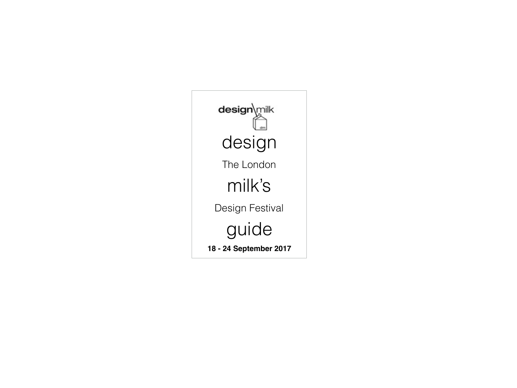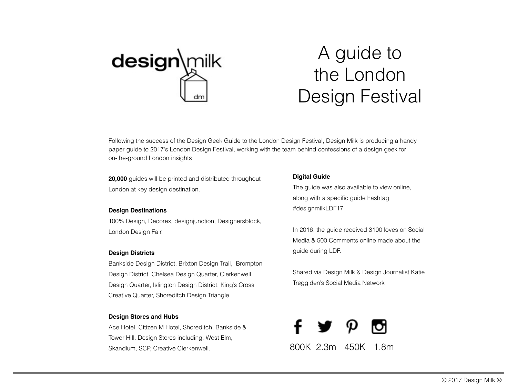

# A guide to the London Design Festival

Following the success of the Design Geek Guide to the London Design Festival, Design Milk is producing a handy paper guide to 2017's London Design Festival, working with the team behind confessions of a design geek for on-the-ground London insights

**20,000** guides will be printed and distributed throughout London at key design destination.

#### **Design Destinations**

100% Design, Decorex, designjunction, Designersblock, London Design Fair.

### **Design Districts**

Bankside Design District, Brixton Design Trail, Brompton Design District, Chelsea Design Quarter, Clerkenwell Design Quarter, Islington Design District, King's Cross Creative Quarter, Shoreditch Design Triangle.

### **Design Stores and Hubs**

Ace Hotel, Citizen M Hotel, Shoreditch, Bankside & Tower Hill. Design Stores including, West Elm, Skandium, SCP, Creative Clerkenwell.

## **Digital Guide**

The guide was also available to view online, along with a specific guide hashtag #designmilkLDF17

In 2016, the guide received 3100 loves on Social Media & 500 Comments online made about the guide during LDF.

Shared via Design Milk & Design Journalist Katie Treggiden's Social Media Network

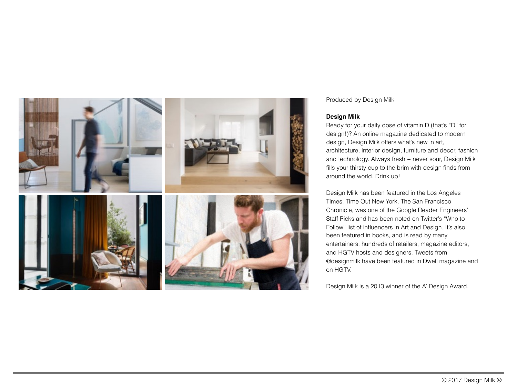

## Produced by Design Milk

## **Design Milk**

Ready for your daily dose of vitamin D (that's "D" for design!)? An online magazine dedicated to modern design, Design Milk offers what's new in art, architecture, interior design, furniture and decor, fashion and technology. Always fresh + never sour, Design Milk fills your thirsty cup to the brim with design finds from around the world. Drink up!

Design Milk has been featured in the Los Angeles Times, Time Out New York, The San Francisco Chronicle, was one of the Google Reader Engineers' Staff Picks and has been noted on Twitter's "Who to Follow" list of influencers in Art and Design. It's also been featured in books, and is read by many entertainers, hundreds of retailers, magazine editors, and HGTV hosts and designers. Tweets from @designmilk have been featured in Dwell magazine and on HGTV.

Design Milk is a 2013 winner of the A' Design Award.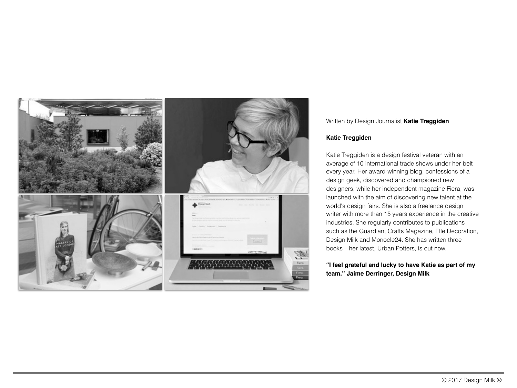

## Written by Design Journalist **Katie Treggiden**

### **Katie Treggiden**

Katie Treggiden is a design festival veteran with an average of 10 international trade shows under her belt every year. Her award-winning blog, confessions of a design geek, discovered and championed new designers, while her independent magazine Fiera, was launched with the aim of discovering new talent at the world's design fairs. She is also a freelance design writer with more than 15 years experience in the creative industries. She regularly contributes to publications such as the Guardian, Crafts Magazine, Elle Decoration, Design Milk and Monocle24. She has written three books – her latest, Urban Potters, is out now.

# **"I feel grateful and lucky to have Katie as part of my team." Jaime Derringer, Design Milk**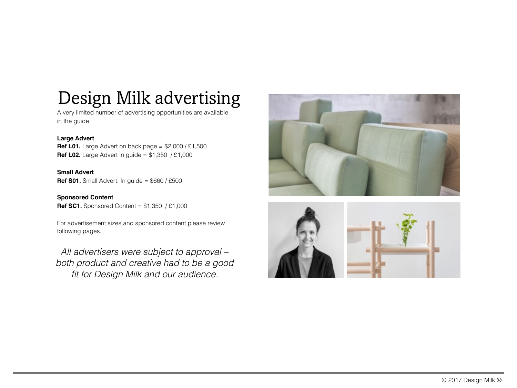# Design Milk advertising

A very limited number of advertising opportunities are available in the guide.

# **Large Advert**

**Ref L01.** Large Advert on back page = \$2,000 / £1,500 **Ref L02.** Large Advert in guide = \$1,350 / £1,000

**Small Advert Ref S01.** Small Advert. In guide = \$660 / £500

**Sponsored Content Ref SC1.** Sponsored Content = \$1,350 / £1,000

For advertisement sizes and sponsored content please review following pages.

*All advertisers were subject to approval – both product and creative had to be a good fit for Design Milk and our audience.*



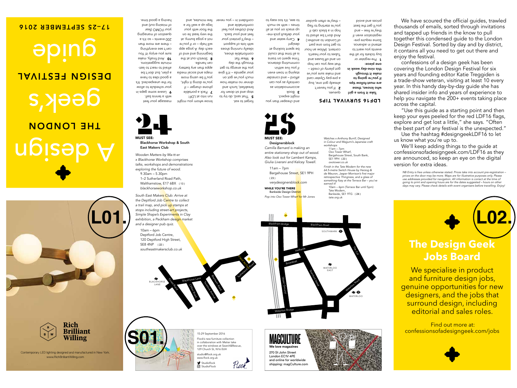

www.RichBrilliantWilling.com Contemporary LED lighting designed and manufactured in New York.



## 17–25 SEPTEMBER 2016



legs up a wall for a pue 'sannulu mai



**A** resve some daba in your schedule to allow for the unexpected. It's a good idea to have a blau' pnt dou, t be afraid to react to lastminute suggestions. **10** And finally, make snus *hou euloh* i<sub>f!</sub> yon can't see everything – there are more than 200 events – so it's a question of managing

pue (1no 6uissim 10 having a good time.



Blackhorse Workshop & South

East Makers Club Wooden Matters by Ma-tt-er x Blackhorse Workshop comprises talks, workshops and demonstrations exploring the future of wood.  $9.30$ am – 5.30pm 1–2 Sutherland Road Path, Walthamstow, E17 6BX (13) blackhorseworkshop.co.uk South East Makers Club: Arrive at the Deptford Job Centre to collect a trail map, and pick up stamps at stops including street-art projects, Simple Shape's Experiments in Clay exhibition, a Peckham design market

and a designer pub quiz. 10am – 6pm Deptford Job Centre, 120 Deptford High Street, SE8 4NP (22)<br>southeastmakersclub.co.uk

> BLACKHORSE LANE

massage your feet

forget to eat. know wou you? run into at LDF!

of  $\gamma$ to do the torm to stop and sit down for breakfast, lunch and dinner no matter how uo 106 an non uonw your agenda – it'll give you the energy to get through the day. **6** Wear tlat comfortable shoes, saous buluuni Nileapi with lots of support – they'll protect your feet and your back.

And clothes you feel comhortable and confdent in – you never

and cheaper than you might expect. 3 Book accommodation as centrally as you can afford – and consider staying in town even if you live within commuting distance. Time spent on trains is all time that conld be spent looking at jubisap 4 Carry water and your default pick-meup snack on you at all times – with somit

to see, it's too easy to



Camilla Barnard is making an entire stationery shop out of wood. Also look out for Lambert Kamps, Giulia Liverani and Kelcey Towell. 11am – 7pm Bargehouse Street, SE1 9PH

( 23 ) verydesignersblo<mark>ck.c</mark>om WHILE YOU'RE THERE

Bankside Design Dist<mark>ric</mark>t Pop into Oxo Tower Wharf for Mr Jones



Take it from a girl sananh  $1$ 'neven't  $S$ sylesq) dot one' pn) a pre-pay Oyster card an, no A ains a yew pue got plenty of credit – that way you can be done pue sasnq <sub>#0</sub> pue uo Tubes to your heart's content. (Allow an hour to get from one part of London to another.)

LDF16 SURVIVAL TIPS

Watches x Anthony Burrill, Designed in Colour and Wagumi's Japanese craft

Finish in the Tate Modern for the new 64.5-metre Switch House by Herzog & de Meuron, Jasper Morrison's first major retrospective Thingness, and a glass of something fizzy at the Terrace Bar - you've

10am – 6pm (Terrace Bar until 5pm)

workshops  $11am - 7pm$ Oxo Tower Wharf, Bargehouse Street, South Bank,

And don't be afraid to hop in a black cab if you're starting to fag – they're often quicker

earned it!

SE1 9PH ( 23 ) oxotower.co.uk

Tate Modern, Bankside, SE1 9TG ( 24 )

tate.org.uk

who knows, these are must-follow tips if you're going to make it through this nine-day week in one piece: 1 Pre-register or buy tickets for all the events you want to attend in advance. Some require preregistration even if they're free – and you'll get the best prices and avoid

We have scoured the official guides, trawled thousands of emails, sorted through invitations and tapped up friends in the know to pull together this condensed guide to the London Design Festival. Sorted by day and by district, it contains all you need to get out there and enjoy the festival. confessions of a design geek has been

covering the London Design Festival for six years and founding editor Katie Treggiden is a trade-show veteran, visiting at least 10 every year. In this handy day-by-day guide she has shared insider info and years of experience to help you navigate the 200+ events taking place across the capital.

"Use this guide as a starting point and then keep your eyes peeled for the red LDF16 fags, explore and get lost a little," she says. "Often the best part of any festival is the unexpected."

Use the hashtag #designgeekLDF16 to let us know what you're up to.

We'll keep adding things to the guide at confessionsofadesigngeek.com/LDF16 as they are announced, so keep an eye on the digital version for extra ideas.

NB Entry is free unless otherwise stated. Prices take into account pre-registration – prices on the door may be more. Maps are for illustrative purposes only. Please use addresses provided for navigation. All information is correct at the time of going to print and opening hours are for the dates suggested – hours on other days may vary. Please check details with event organisers before travelling. Enjoy!



We specialise in product and furniture design jobs, genuine opportunities for new designers, and the jobs that surround design, including editorial and sales roles.

 Find out more at: confessionsofadesigngeek.com/jobs



15-29 September 2016 Flock's new furniture collection in collaboration with Metier take over the windows at Search&Rescue, 129 Church St, N16 0UH studio@flock.org.uk www.fock.org.uk Studioflock Flock **StudioFlock** 

Blenheim Road

Tavistock Avenue

Clifton Road

Blackhorse Lane

To de Media

Sutherland Road Siand Rd Path

22





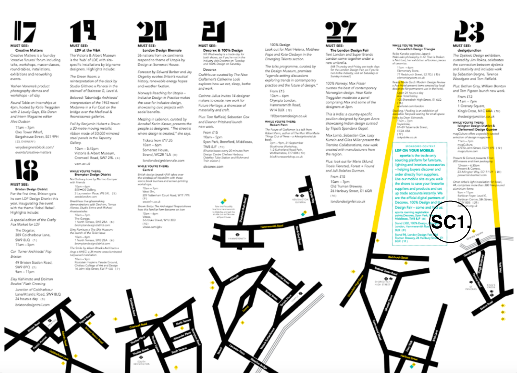

#### **Creative Matters**

Creative Matters is a founday 'creative futures' forum including taks, workshops, master-classes, round-tables, installations, exhibitions and networking events.

Yeshen Venema's product photography demos and workshops - all day

Round Table on Internships at 4pm, hosted by Katie Treggiden with 2 Lovely Gays, Ella Doran and Intern Magazine editor Alec Dudson

 $11am - 7pm$ Oxo Tower Wharf, Bargehouse Street, SE1 9PH (23. CWREAF)

verydesignersblock.com/ events/creative-matters



#### MUST SEE:

**Brixton Design District** For the first time, Brixton gets its own LDF Design District this year, inaugurating the event with the theme 'Rebel Rebel'. Highlights include:

A special edition of the Crafty Fox Market for LDP

The Dogstar, 389 Coldharbour Lane, SW9 8LC (1) 11am - Spm

Car Turner Architects' Pop Brücton

49 Brixton Station Road, SW9 8PO 121  $9am - 11gm$ 

Eley Kishimoto and Dolman Bowles' Flash Crossing

Junction of Coldharbour Lane/Atlantic Road, SW9 8LQ 24 hours a day (3) brixtondesigntrail.com



#### **MUST SEE:** LDF at the V&A

The Victoria & Albert Museum is the 'hub' of LDF, with sitespecific installations by big-name designers. Highlights include:

The Green Room: a reinterpretation of the clock by Studio Glithero x Panerai in the stainvoll of Staircase G, Level 6.

Beloved: Tabanloğu Architects' interpretation of the 1943 novel Madonna in a Fur Coat on the bridge over the Medieval & Reansissance galleries.

Foil by Benjamin Hubert x Braun: a 20-metre moving metallic ribbon made of 50,000 mirrored steel panels in the Tapestry Gallery.

 $10am - 5.45cm$ Victoria & Albert Museum. Cromwell Road, SW7 2RL (4)

vam.ac.uk WHILE YOU'RE THERE:

#### **Brompton Design District** No Ordnay Love by Martino Gamper with Friends  $50um - 6ae$

SEE .. DS Gallery 3 Launomton Place, W8 SRL (5) seeds/unders.com Breathless: I've glassmaking<br>demonstrations with Dechem, Tomas Alonso, Studio Swing and Michael

Arustassiecka  $10am = 7cm$ The Gatage,<br>1 North Terrace, SW3 28A (6) bromptondesigndistrict.com

Diny Furniture x The Shit Museum: the launch of the Toilet issue 10am - 6pm<br>1 North Terson, SW3 28A (6) bromptondesigndistrict.com

The Smile by Alison Brooks Architects a

Angl x AHEC: a 34-metre cross-laminated nalpwood installation  $10am - 9pm$ Rootstein Hookins Parade Ground Chalses College of Art and Design 16 John Islip Street, SW1P 4JU (7)



#### **MUST SEE:** London Design Biennale

36 nations from six continents respond to theme of Utopia by Design at Somerset House.

Forecast by Edward Barber and Jay Osgerby evokes Britain's nautical history, renewable energy hopes and weather fixation.

Norway's Reaching for Utopia -Inclusive Design in Practice makes the case for inclusive design, showcasing civic projects with social banefits.

Mezzing in Lebanon, curated by Annabel Karim Kassar, presents the people as designers. "The street is where design is created," she says.

Tickets from £17.35  $10am - 6pm$ Somerset House, Strand, WC2R 1LA ca:

londondesignbiennale.com WHILE YOU'RE THERE:

#### Central

British design brand HAM takes over the windows of West Elm with those iconic black bunnies and screwn-printing sanche de consu  $10am - Jpm$ West Dr. 209 Tottenham Court Road, W1T 7PN 近期 westelm.co.uk

Brown Batty: The Anthotypal Teapot shows how this familiar form became an icon 10am - épm Vitace

3-5 Duke Street, W1U 3ED  $(10)$ vitage com/obv



Decorex & 100% Design

NB Wechesday is a track day fo both shows, so if you're not in the<br>industry visit Decorex on Tuesday and 100% Design on Saturday.

#### Decorex

CraftHouse curated by The New Craftsmon's Catherine Lock explores how we eat, sleep, bathe and work.

Corinne Julius invites 14 designer makers to create new work for Future Heritage, a showcase of materiality and craft.

Plus: Tom Raffield, Sebastian Cox and Eleanor Pritchard launch new work.

#### From £15 10am - Spm Syon Park, Brentford, Middlesex, TW8 8JF (11)

Shuttle buses every 20 minutes from Design Centre Chelsea Harbour. Osterley Tube Station and Richmond Train attation.) decorex.com

100% Design Look out for Mairi Helena, Matthew

Pope and Kate Cledwyn in the Emerging Talents section.

The taiks programme, curated by the Design Museum, promises "agenda-setting discussions exploring trends in contemporary practice and the future of design." From £15

 $10am - 6am$ Olympia London, Hammersmith Road, W14 BUX (12)

100percentdesign.co.uk WHILE YOU'RE THERE:

Robert Penn The Future of Craftsmen is a talk from Robert Penn, author of The Man Who Made Things Out of Trees - a Atlesignbookslub book. Zoyn - Rom, 21 September Blackbaran Worksborn. 1-2 Sutherland Road Path, Walthamstow, E17 6BX (13) blackharseworkshop.co.uk



#### The London Design Fair Tent London and Super Brands London come together under a new umbrella.

(NB Thursday and Friday are track days<br>for the London Design Fair, so if you're not in the industry, visit on Saturday or Sunday instead.)

100% Norway: Max Fraser curates the best of contemporary Noneegian design. Hear Katie Treggiden moderate a panel comprising Max and some of the designers at 3pm.

This is India: a country-specific pavilion designed by Kangan Arora showcasing Indian design curated by Tilpol's Spandana Gopal.

Max Lamb, Sebastian Cox, Lucy Kurrein and Giles Miller present the Trentino Collaborations, new work created with manufacturers from the region.

Plus: look out for Marie Eklund, Trapis Flensted, Forest + Found and Juli Bolaños Durman.

From £10  $10am - 7pm$ Old Truman Browery, 26 Hanbury Street, E1 6QR 0.14.3

londondesignfair.co.uk



Relia Kaneko explores Japan's<br>Wabi-sabi philosophy in All That is Broken is Not Lost, her exhibition of broken pieces of ceramics.  $11 \mu m = 6 \mu m$ 

Elementary Store, 77 Redchurch Street, E2 70J (15) elementarystate.co.uk Read<mark>y M</mark>ade Go 2: Modern Design Review x Acir Histol present items created by local desi<mark>ane</mark>s for permanent use in the hotel Open 24 hours a day **Los** Hotel lobby. 00 Showdish High Street, E1 6JQ <mark>Ltá |</mark><br><mark>A</mark>rahatel.com/landon <mark>aoi</mark>ng / Packing is an exhibition of<br>aoiable flat-pack seating for small-space ing by Dean Edmonds. 11am - 7pm<br>Toykobike,

87-89 Taberracie Street EC2A 4BA (17)<br>tokyobike.co.uk

 $11am = 7pm$ magCulture, 270 St John Street, EC1V 4PE | 19 | nasculture.com

> Present & Correct presents Er<mark>ror.</mark> 200 ensure and their peckagin  $12$ roon = 6.30pm hesent & Correct 23 Arlington Wey, EC1R 1LW (20) presentandosmet.com Omer Arbei's light installation f<mark>or B</mark>occi,<br>44, comprises more than 300 fr<mark>ee-p</mark>ouned

> > r, ceng, Lik

suppliers and products and set aluminium forma up trade accounts instantly. We 9am - 11pm Barbican Toyer, Level G. are the official digital partners of **Sarbican Centre, Silk Street**, 2Y 6DS 1211

**SC1.**sex, TWB EJF Stand L302, 100% Da **BLX 191 Israel 98, Lo**  $\arg 26$ **GOR (111)** 

order directly from suppliers. Use our mobile site as you walk the shows to save your favourite Decorex, 100% Design and t Design Fair - come and f



curated by Jim Rokos, celebrates the connection between dysloxia and creativity and includes work by Sebastian Bergne, Terence Woodgate and Tom Raffield. Plus: Bethan Gray, William Branton and Tom Plgeon launch new work. From £12  $11am - 7pm$ 1 Granary Square, King's Cross, N1C 4AA (18) thedesignjunction.co.uk WHILE YOU'RE THERE: Islington Design District & Clerkenwell Design Quarter magCulture offers a speciall<mark>y cu</mark>rated selection of design magazines **SPONSORED CONTENT** LDF ON YOUR MOBILE: eporta is the trade-only sourcing platform for furniture, lighting and interiors accessories helping buyers discover and